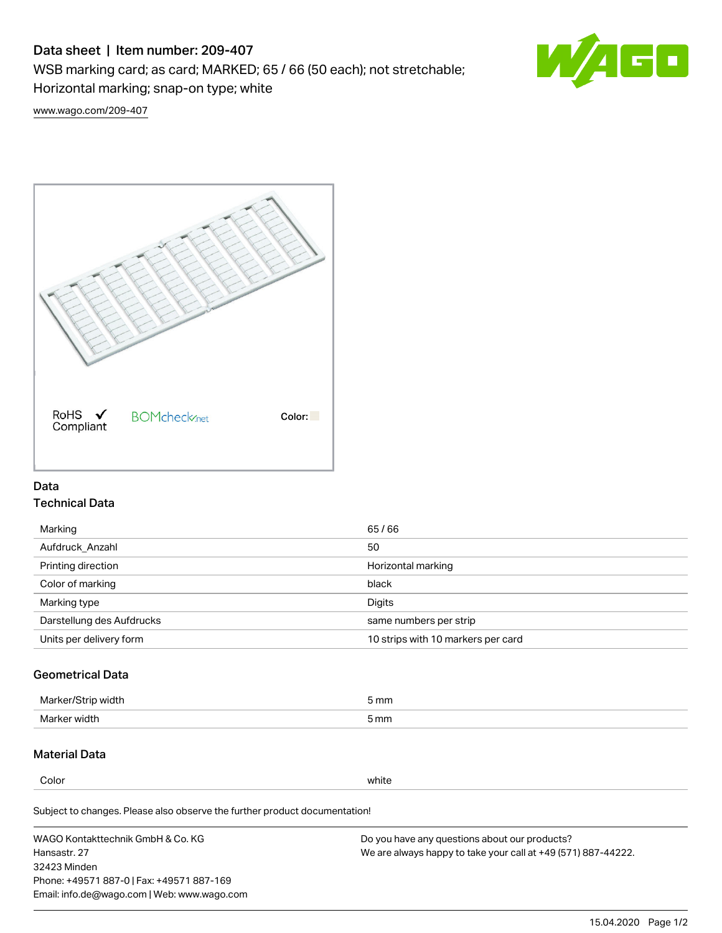# Data sheet | Item number: 209-407

WSB marking card; as card; MARKED; 65 / 66 (50 each); not stretchable;

Horizontal marking; snap-on type; white



[www.wago.com/209-407](http://www.wago.com/209-407)



### Data Technical Data

| 65/66                              |
|------------------------------------|
| 50                                 |
| Horizontal marking                 |
| black                              |
| Digits                             |
| same numbers per strip             |
| 10 strips with 10 markers per card |
|                                    |

## Geometrical Data

| Marker/Strip width | 5 mm |
|--------------------|------|
| Marker width       | 5 mm |

## Material Data

Color white

Subject to changes. Please also observe the further product documentation!

WAGO Kontakttechnik GmbH & Co. KG Hansastr. 27 32423 Minden Phone: +49571 887-0 | Fax: +49571 887-169 Email: info.de@wago.com | Web: www.wago.com Do you have any questions about our products? We are always happy to take your call at +49 (571) 887-44222.